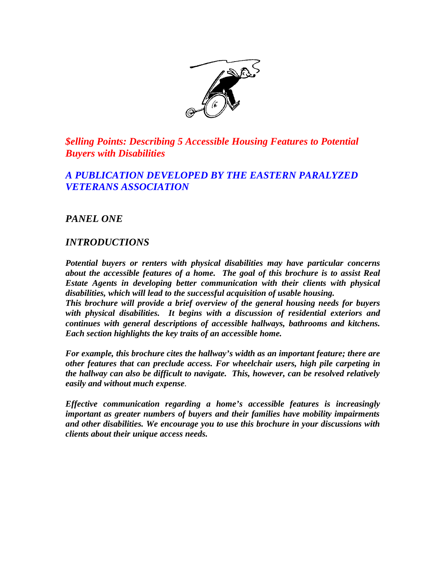

*\$elling Points: Describing 5 Accessible Housing Features to Potential Buyers with Disabilities*

# *A PUBLICATION DEVELOPED BY THE EASTERN PARALYZED VETERANS ASSOCIATION*

*PANEL ONE*

# *INTRODUCTIONS*

*Potential buyers or renters with physical disabilities may have particular concerns about the accessible features of a home. The goal of this brochure is to assist Real Estate Agents in developing better communication with their clients with physical disabilities, which will lead to the successful acquisition of usable housing.*

*This brochure will provide a brief overview of the general housing needs for buyers with physical disabilities. It begins with a discussion of residential exteriors and continues with general descriptions of accessible hallways, bathrooms and kitchens. Each section highlights the key traits of an accessible home.* 

*For example, this brochure cites the hallway's width as an important feature; there are other features that can preclude access. For wheelchair users, high pile carpeting in the hallway can also be difficult to navigate. This, however, can be resolved relatively easily and without much expense.*

*Effective communication regarding a home's accessible features is increasingly important as greater numbers of buyers and their families have mobility impairments and other disabilities. We encourage you to use this brochure in your discussions with clients about their unique access needs.*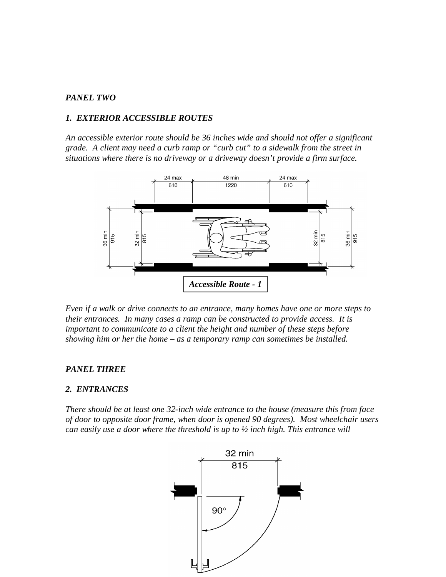# *PANEL TWO*

# *1. EXTERIOR ACCESSIBLE ROUTES*

*An accessible exterior route should be 36 inches wide and should not offer a significant grade. A client may need a curb ramp or "curb cut" to a sidewalk from the street in situations where there is no driveway or a driveway doesn't provide a firm surface.* 



*Even if a walk or drive connects to an entrance, many homes have one or more steps to their entrances. In many cases a ramp can be constructed to provide access. It is important to communicate to a client the height and number of these steps before showing him or her the home – as a temporary ramp can sometimes be installed.* 

#### *PANEL THREE*

#### *2. ENTRANCES*

*There should be at least one 32-inch wide entrance to the house (measure this from face of door to opposite door frame, when door is opened 90 degrees). Most wheelchair users can easily use a door where the threshold is up to ½ inch high. This entrance will* 

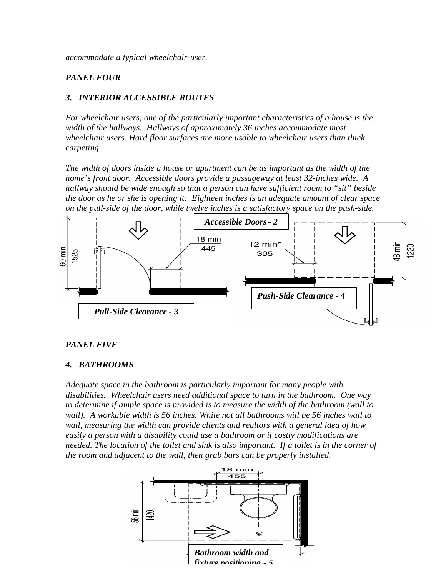*accommodate a typical wheelchair-user.* 

# *PANEL FOUR*

# *3. INTERIOR ACCESSIBLE ROUTES*

*For wheelchair users, one of the particularly important characteristics of a house is the width of the hallways. Hallways of approximately 36 inches accommodate most wheelchair users. Hard floor surfaces are more usable to wheelchair users than thick carpeting.* 

*The width of doors inside a house or apartment can be as important as the width of the home's front door. Accessible doors provide a passageway at least 32-inches wide. A hallway should be wide enough so that a person can have sufficient room to "sit" beside the door as he or she is opening it: Eighteen inches is an adequate amount of clear space on the pull-side of the door, while twelve inches is a satisfactory space on the push-side.*



#### *PANEL FIVE*

### *4. BATHROOMS*

*Adequate space in the bathroom is particularly important for many people with disabilities. Wheelchair users need additional space to turn in the bathroom. One way to determine if ample space is provided is to measure the width of the bathroom (wall to wall). A workable width is 56 inches. While not all bathrooms will be 56 inches wall to wall, measuring the width can provide clients and realtors with a general idea of how easily a person with a disability could use a bathroom or if costly modifications are needed. The location of the toilet and sink is also important. If a toilet is in the corner of the room and adjacent to the wall, then grab bars can be properly installed.* 

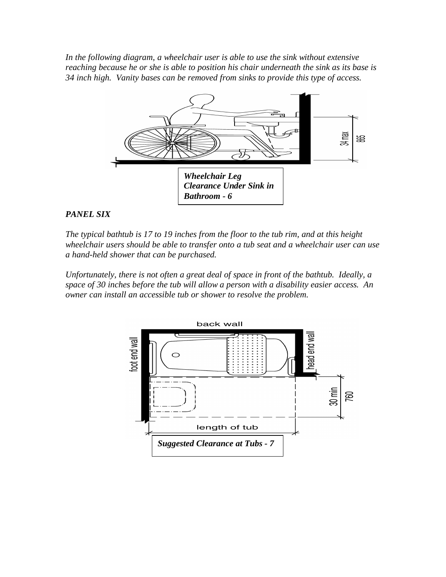*In the following diagram, a wheelchair user is able to use the sink without extensive reaching because he or she is able to position his chair underneath the sink as its base is 34 inch high. Vanity bases can be removed from sinks to provide this type of access.*



# *PANEL SIX*

*The typical bathtub is 17 to 19 inches from the floor to the tub rim, and at this height wheelchair users should be able to transfer onto a tub seat and a wheelchair user can use a hand-held shower that can be purchased.* 

*Unfortunately, there is not often a great deal of space in front of the bathtub. Ideally, a space of 30 inches before the tub will allow a person with a disability easier access. An owner can install an accessible tub or shower to resolve the problem.* 

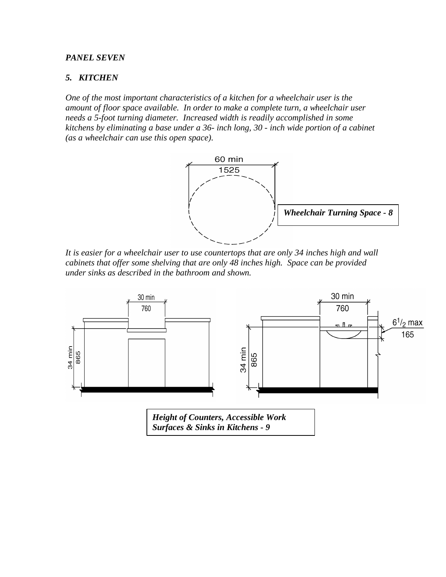### *PANEL SEVEN*

### *5. KITCHEN*

*One of the most important characteristics of a kitchen for a wheelchair user is the amount of floor space available. In order to make a complete turn, a wheelchair user needs a 5-foot turning diameter. Increased width is readily accomplished in some kitchens by eliminating a base under a 36- inch long, 30 - inch wide portion of a cabinet (as a wheelchair can use this open space).*



*It is easier for a wheelchair user to use countertops that are only 34 inches high and wall cabinets that offer some shelving that are only 48 inches high. Space can be provided under sinks as described in the bathroom and shown.*